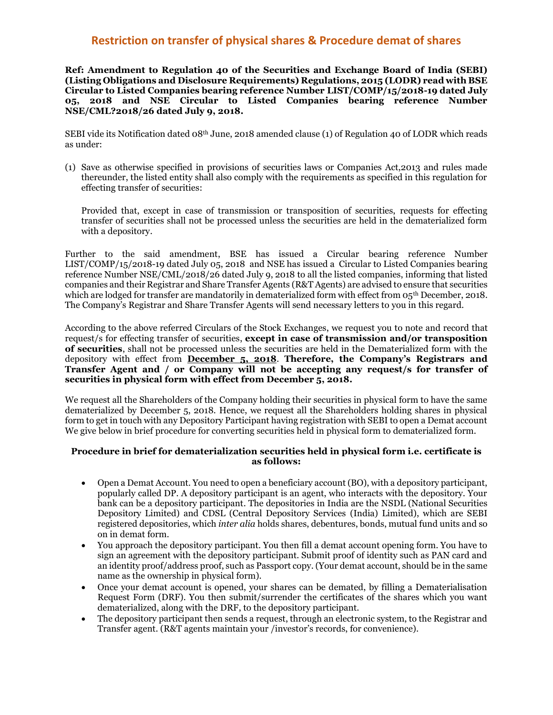## **Restriction on transfer of physical shares & Procedure demat of shares**

**Ref: Amendment to Regulation 40 of the Securities and Exchange Board of India (SEBI) (Listing Obligations and Disclosure Requirements) Regulations, 2015 (LODR) read with BSE Circular to Listed Companies bearing reference Number LIST/COMP/15/2018-19 dated July 05, 2018 and NSE Circular to Listed Companies bearing reference Number NSE/CML?2018/26 dated July 9, 2018.**

SEBI vide its Notification dated 08th June, 2018 amended clause (1) of Regulation 40 of LODR which reads as under:

(1) Save as otherwise specified in provisions of securities laws or Companies Act,2013 and rules made thereunder, the listed entity shall also comply with the requirements as specified in this regulation for effecting transfer of securities:

Provided that, except in case of transmission or transposition of securities, requests for effecting transfer of securities shall not be processed unless the securities are held in the dematerialized form with a depository.

Further to the said amendment, BSE has issued a Circular bearing reference Number LIST/COMP/15/2018-19 dated July 05, 2018 and NSE has issued a Circular to Listed Companies bearing reference Number NSE/CML/2018/26 dated July 9, 2018 to all the listed companies, informing that listed companies and their Registrar and Share Transfer Agents (R&T Agents) are advised to ensure that securities which are lodged for transfer are mandatorily in dematerialized form with effect from  $0.5$ <sup>th</sup> December, 2018. The Company's Registrar and Share Transfer Agents will send necessary letters to you in this regard.

According to the above referred Circulars of the Stock Exchanges, we request you to note and record that request/s for effecting transfer of securities, **except in case of transmission and/or transposition of securities**, shall not be processed unless the securities are held in the Dematerialized form with the depository with effect from **December 5, 2018**. **Therefore, the Company's Registrars and Transfer Agent and / or Company will not be accepting any request/s for transfer of securities in physical form with effect from December 5, 2018.**

We request all the Shareholders of the Company holding their securities in physical form to have the same dematerialized by December 5, 2018. Hence, we request all the Shareholders holding shares in physical form to get in touch with any Depository Participant having registration with SEBI to open a Demat account We give below in brief procedure for converting securities held in physical form to dematerialized form.

## **Procedure in brief for dematerialization securities held in physical form i.e. certificate is as follows:**

- Open a Demat Account. You need to open a beneficiary account (BO), with a depository participant, popularly called DP. A depository participant is an agent, who interacts with the depository. Your bank can be a depository participant. The depositories in India are the NSDL (National Securities Depository Limited) and CDSL (Central Depository Services (India) Limited), which are SEBI registered depositories, which *inter alia* holds shares, debentures, bonds, mutual fund units and so on in demat form.
- You approach the depository participant. You then fill a demat account opening form. You have to sign an agreement with the depository participant. Submit proof of identity such as PAN card and an identity proof/address proof, such as Passport copy. (Your demat account, should be in the same name as the ownership in physical form).
- Once your demat account is opened, your shares can be demated, by filling a Dematerialisation Request Form (DRF). You then submit/surrender the certificates of the shares which you want dematerialized, along with the DRF, to the depository participant.
- The depository participant then sends a request, through an electronic system, to the Registrar and Transfer agent. (R&T agents maintain your /investor's records, for convenience).